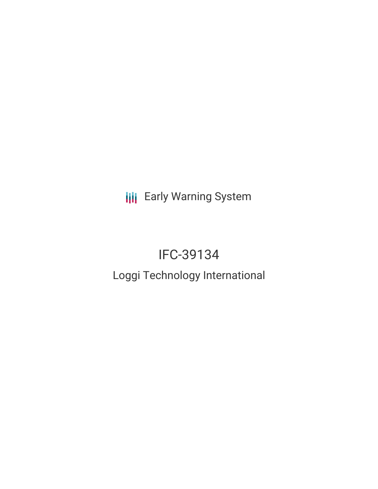**III** Early Warning System

# IFC-39134

## Loggi Technology International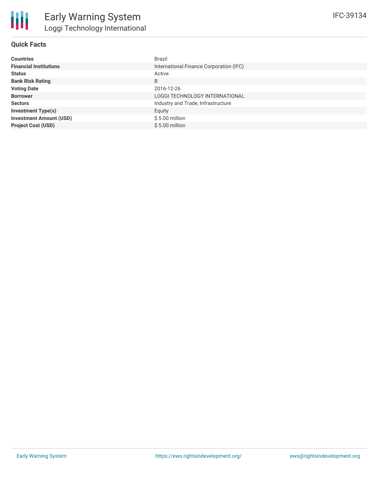

#### **Quick Facts**

| <b>Countries</b>               | Brazil                                  |
|--------------------------------|-----------------------------------------|
| <b>Financial Institutions</b>  | International Finance Corporation (IFC) |
| <b>Status</b>                  | Active                                  |
| <b>Bank Risk Rating</b>        | B                                       |
| <b>Voting Date</b>             | 2016-12-26                              |
| <b>Borrower</b>                | LOGGI TECHNOLOGY INTERNATIONAL          |
| <b>Sectors</b>                 | Industry and Trade, Infrastructure      |
| <b>Investment Type(s)</b>      | Equity                                  |
| <b>Investment Amount (USD)</b> | $$5.00$ million                         |
| <b>Project Cost (USD)</b>      | $$5.00$ million                         |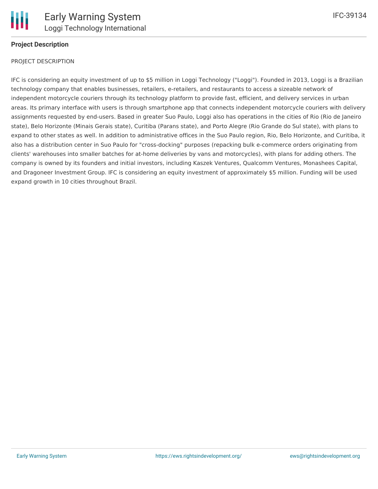

#### **Project Description**

#### PROJECT DESCRIPTION

IFC is considering an equity investment of up to \$5 million in Loggi Technology ("Loggi"). Founded in 2013, Loggi is a Brazilian technology company that enables businesses, retailers, e-retailers, and restaurants to access a sizeable network of independent motorcycle couriers through its technology platform to provide fast, efficient, and delivery services in urban areas. Its primary interface with users is through smartphone app that connects independent motorcycle couriers with delivery assignments requested by end-users. Based in greater Suo Paulo, Loggi also has operations in the cities of Rio (Rio de Janeiro state), Belo Horizonte (Minais Gerais state), Curitiba (Parans state), and Porto Alegre (Rio Grande do Sul state), with plans to expand to other states as well. In addition to administrative offices in the Suo Paulo region, Rio, Belo Horizonte, and Curitiba, it also has a distribution center in Suo Paulo for "cross-docking" purposes (repacking bulk e-commerce orders originating from clients' warehouses into smaller batches for at-home deliveries by vans and motorcycles), with plans for adding others. The company is owned by its founders and initial investors, including Kaszek Ventures, Qualcomm Ventures, Monashees Capital, and Dragoneer Investment Group. IFC is considering an equity investment of approximately \$5 million. Funding will be used expand growth in 10 cities throughout Brazil.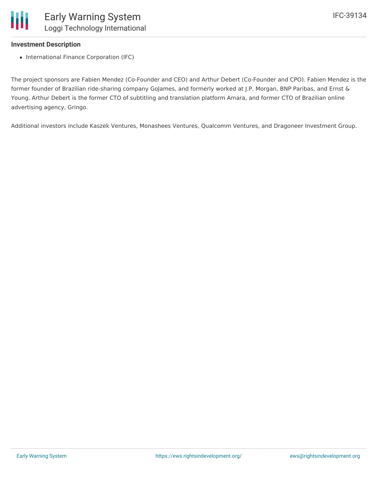#### **Investment Description**

• International Finance Corporation (IFC)

The project sponsors are Fabien Mendez (Co-Founder and CEO) and Arthur Debert (Co-Founder and CPO). Fabien Mendez is the former founder of Brazilian ride-sharing company GoJames, and formerly worked at J.P. Morgan, BNP Paribas, and Ernst & Young. Arthur Debert is the former CTO of subtitling and translation platform Amara, and former CTO of Brazilian online advertising agency, Gringo.

Additional investors include Kaszek Ventures, Monashees Ventures, Qualcomm Ventures, and Dragoneer Investment Group.